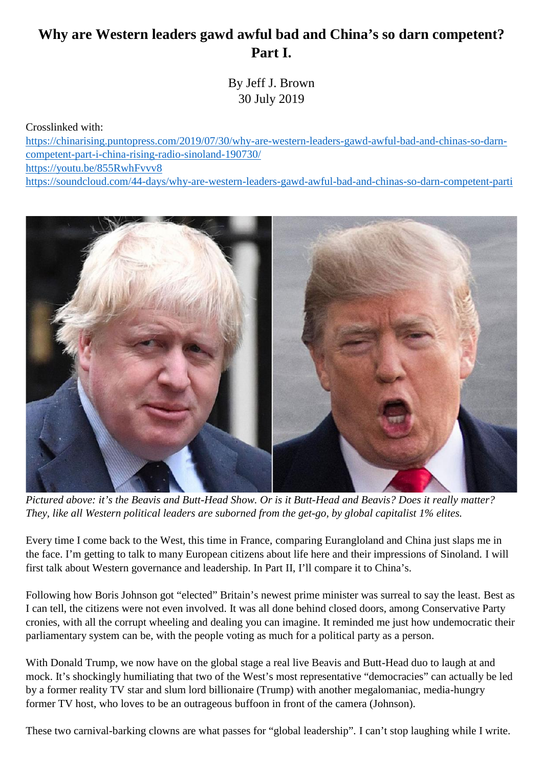## **Why are Western leaders gawd awful bad and China's so darn competent? Part I.**

By Jeff J. Brown 30 July 2019

Crosslinked with:

https://chinarising.puntopress.com/2019/07/30/why-are-western-leaders-gawd-awful-bad-and-chinas-so-darn competent-part-i-china-rising-radio-sinoland-190730/ https://youtu.be/855RwhFvvv8 https://soundcloud.com/44-days/why-are-western-leaders-gawd-awful-bad-and-chinas-so-darn-competent-parti



*Pictured above: it's the Beavis and Butt-Head Show. Or is it Butt-Head and Beavis? Does it really matter? They, like all Western political leaders are suborned from the get-go, by global capitalist 1% elites.*

Every time I come back to the West, this time in France, comparing Eurangloland and China just slaps me in the face. I'm getting to talk to many European citizens about life here and their impressions of Sinoland. I will first talk about Western governance and leadership. In Part II, I'll compare it to China's.

Following how Boris Johnson got "elected" Britain's newest prime minister was surreal to say the least. Best as I can tell, the citizens were not even involved. It was all done behind closed doors, among Conservative Party cronies, with all the corrupt wheeling and dealing you can imagine. It reminded me just how undemocratic their parliamentary system can be, with the people voting as much for a political party as a person.

With Donald Trump, we now have on the global stage a real live Beavis and Butt-Head duo to laugh at and mock. It's shockingly humiliating that two of the West's most representative "democracies" can actually be led by a former reality TV star and slum lord billionaire (Trump) with another megalomaniac, media-hungry former TV host, who loves to be an outrageous buffoon in front of the camera (Johnson).

These two carnival-barking clowns are what passes for "global leadership". I can't stop laughing while I write.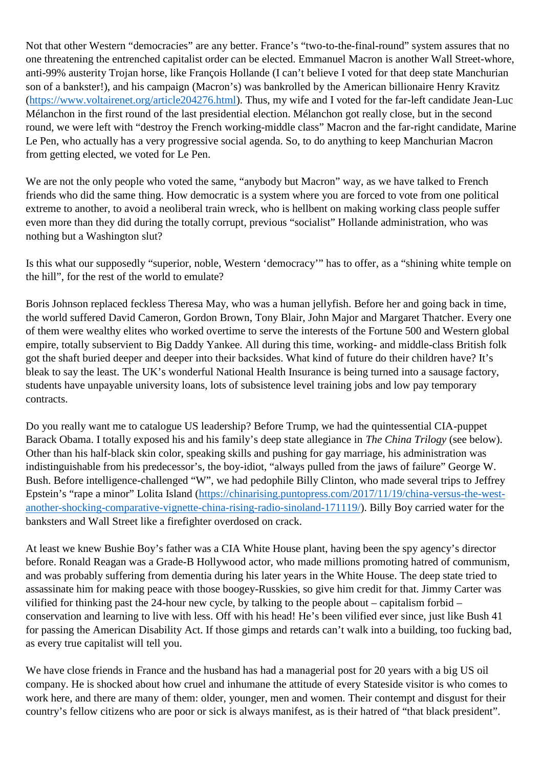Not that other Western "democracies" are any better. France's "two-to-the-final-round" system assures that no one threatening the entrenched capitalist order can be elected. Emmanuel Macron is another Wall Street-whore, anti-99% austerity Trojan horse, like François Hollande (I can't believe I voted for that deep state Manchurian son of a bankster!), and his campaign (Macron's) was bankrolled by the American billionaire Henry Kravitz (https://www.voltairenet.org/article204276.html). Thus, my wife and I voted for the far-left candidate Jean-Luc Mélanchon in the first round of the last presidential election. Mélanchon got really close, but in the second round, we were left with "destroy the French working-middle class" Macron and the far-right candidate, Marine Le Pen, who actually has a very progressive social agenda. So, to do anything to keep Manchurian Macron from getting elected, we voted for Le Pen.

We are not the only people who voted the same, "anybody but Macron" way, as we have talked to French friends who did the same thing. How democratic is a system where you are forced to vote from one political extreme to another, to avoid a neoliberal train wreck, who is hellbent on making working class people suffer even more than they did during the totally corrupt, previous "socialist" Hollande administration, who was nothing but a Washington slut?

Is this what our supposedly "superior, noble, Western 'democracy'" has to offer, as a "shining white temple on the hill", for the rest of the world to emulate?

Boris Johnson replaced feckless Theresa May, who was a human jellyfish. Before her and going back in time, the world suffered David Cameron, Gordon Brown, Tony Blair, John Major and Margaret Thatcher. Every one of them were wealthy elites who worked overtime to serve the interests of the Fortune 500 and Western global empire, totally subservient to Big Daddy Yankee. All during this time, working- and middle-class British folk got the shaft buried deeper and deeper into their backsides. What kind of future do their children have? It's bleak to say the least. The UK's wonderful National Health Insurance is being turned into a sausage factory, students have unpayable university loans, lots of subsistence level training jobs and low pay temporary contracts.

Do you really want me to catalogue US leadership? Before Trump, we had the quintessential CIA-puppet Barack Obama. I totally exposed his and his family's deep state allegiance in *The China Trilogy* (see below). Other than his half-black skin color, speaking skills and pushing for gay marriage, his administration was indistinguishable from his predecessor's, the boy-idiot, "always pulled from the jaws of failure" George W. Bush. Before intelligence-challenged "W", we had pedophile Billy Clinton, who made several trips to Jeffrey Epstein's "rape a minor" Lolita Island (https://chinarising.puntopress.com/2017/11/19/china-versus-the-west another-shocking-comparative-vignette-china-rising-radio-sinoland-171119/). Billy Boy carried water for the banksters and Wall Street like a firefighter overdosed on crack.

At least we knew Bushie Boy's father was a CIA White House plant, having been the spy agency's director before. Ronald Reagan was a Grade-B Hollywood actor, who made millions promoting hatred of communism, and was probably suffering from dementia during his later years in the White House. The deep state tried to assassinate him for making peace with those boogey-Russkies, so give him credit for that. Jimmy Carter was vilified for thinking past the 24-hour new cycle, by talking to the people about – capitalism forbid – conservation and learning to live with less. Off with his head! He's been vilified ever since, just like Bush 41 for passing the American Disability Act. If those gimps and retards can't walk into a building, too fucking bad, as every true capitalist will tell you.

We have close friends in France and the husband has had a managerial post for 20 years with a big US oil company. He is shocked about how cruel and inhumane the attitude of every Stateside visitor is who comes to work here, and there are many of them: older, younger, men and women. Their contempt and disgust for their country's fellow citizens who are poor or sick is always manifest, as is their hatred of "that black president".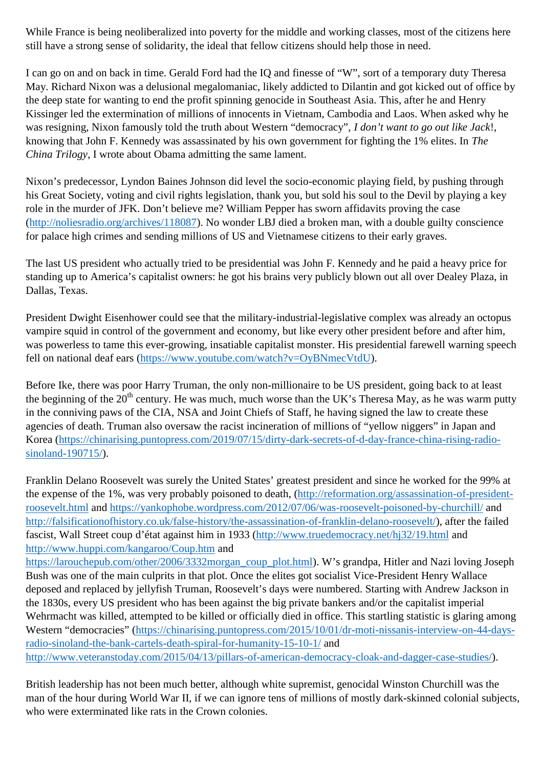While France is being neoliberalized into poverty for the middle and working classes, most of the citizens here still have a strong sense of solidarity, the ideal that fellow citizens should help those in need.

I can go on and on back in time. Gerald Ford had the IQ and finesse of "W", sort of a temporary duty Theresa May. Richard Nixon was a delusional megalomaniac, likely addicted to Dilantin and got kicked out of office by the deep state for wanting to end the profit spinning genocide in Southeast Asia. This, after he and Henry Kissinger led the extermination of millions of innocents in Vietnam, Cambodia and Laos. When asked why he was resigning, Nixon famously told the truth about Western "democracy", *I don't want to go out like Jack*!, knowing that John F. Kennedy was assassinated by his own government for fighting the 1% elites. In *The China Trilogy*, I wrote about Obama admitting the same lament.

Nixon's predecessor, Lyndon Baines Johnson did level the socio-economic playing field, by pushing through his Great Society, voting and civil rights legislation, thank you, but sold his soul to the Devil by playing a key role in the murder of JFK. Don't believe me? William Pepper has sworn affidavits proving the case (http://noliesradio.org/archives/118087). No wonder LBJ died a broken man, with a double guilty conscience for palace high crimes and sending millions of US and Vietnamese citizens to their early graves.

The last US president who actually tried to be presidential was John F. Kennedy and he paid a heavy price for standing up to America's capitalist owners: he got his brains very publicly blown out all over Dealey Plaza, in Dallas, Texas.

President Dwight Eisenhower could see that the military-industrial-legislative complex was already an octopus vampire squid in control of the government and economy, but like every other president before and after him, was powerless to tame this ever-growing, insatiable capitalist monster. His presidential farewell warning speech fell on national deaf ears (https://www.youtube.com/watch?v=OyBNmecVtdU).

Before Ike, there was poor Harry Truman, the only non-millionaire to be US president, going back to at least the beginning of the  $20<sup>th</sup>$  century. He was much, much worse than the UK's Theresa May, as he was warm putty in the conniving paws of the CIA, NSA and Joint Chiefs of Staff, he having signed the law to create these agencies of death. Truman also oversaw the racist incineration of millions of "yellow niggers" in Japan and Korea (https://chinarising.puntopress.com/2019/07/15/dirty-dark-secrets-of-d-day-france-china-rising-radio sinoland-190715/).

Franklin Delano Roosevelt was surely the United States' greatest president and since he worked for the 99% at the expense of the 1%, was very probably poisoned to death, (http://reformation.org/assassination-of-presidentroosevelt.html and https://yankophobe.wordpress.com/2012/07/06/was-roosevelt-poisoned-by-churchill/ and http://falsificationofhistory.co.uk/false-history/the-assassination-of-franklin-delano-roosevelt/), after the failed fascist, Wall Street coup d'état against him in 1933 (http://www.truedemocracy.net/hj32/19.html and http://www.huppi.com/kangaroo/Coup.htm and

https://larouchepub.com/other/2006/3332morgan\_coup\_plot.html). W's grandpa, Hitler and Nazi loving Joseph Bush was one of the main culprits in that plot. Once the elites got socialist Vice-President Henry Wallace deposed and replaced by jellyfish Truman, Roosevelt's days were numbered. Starting with Andrew Jackson in the 1830s, every US president who has been against the big private bankers and/or the capitalist imperial Wehrmacht was killed, attempted to be killed or officially died in office. This startling statistic is glaring among Western "democracies" (https://chinarising.puntopress.com/2015/10/01/dr-moti-nissanis-interview-on-44-daysradio-sinoland-the-bank-cartels-death-spiral-for-humanity-15-10-1/ and http://www.veteranstoday.com/2015/04/13/pillars-of-american-democracy-cloak-and-dagger-case-studies/).

British leadership has not been much better, although white supremist, genocidal Winston Churchill was the man of the hour during World War II, if we can ignore tens of millions of mostly dark-skinned colonial subjects, who were exterminated like rats in the Crown colonies.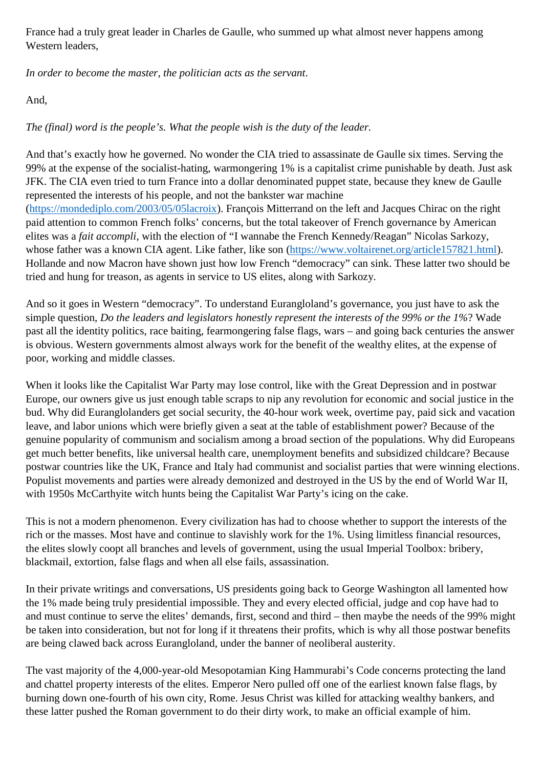France had a truly great leader in Charles de Gaulle, who summed up what almost never happens among Western leaders,

*In order to become the master, the politician acts as the servant*.

And,

*The (final) word is the people's. What the people wish is the duty of the leader.*

And that's exactly how he governed. No wonder the CIA tried to assassinate de Gaulle six times. Serving the 99% at the expense of the socialist-hating, warmongering 1% is a capitalist crime punishable by death. Just ask JFK. The CIA even tried to turn France into a dollar denominated puppet state, because they knew de Gaulle represented the interests of his people, and not the bankster war machine (https://mondediplo.com/2003/05/05lacroix). François Mitterrand on the left and Jacques Chirac on the right paid attention to common French folks' concerns, but the total takeover of French governance by American elites was a *fait accompli*, with the election of "I wannabe the French Kennedy/Reagan" Nicolas Sarkozy, whose father was a known CIA agent. Like father, like son (https://www.voltairenet.org/article157821.html). Hollande and now Macron have shown just how low French "democracy" can sink. These latter two should be tried and hung for treason, as agents in service to US elites, along with Sarkozy.

And so it goes in Western "democracy". To understand Eurangloland's governance, you just have to ask the simple question, *Do the leaders and legislators honestly represent the interests of the 99% or the 1%*? Wade past all the identity politics, race baiting, fearmongering false flags, wars – and going back centuries the answer is obvious. Western governments almost always work for the benefit of the wealthy elites, at the expense of poor, working and middle classes.

When it looks like the Capitalist War Party may lose control, like with the Great Depression and in postwar Europe, our owners give us just enough table scraps to nip any revolution for economic and social justice in the bud. Why did Euranglolanders get social security, the 40-hour work week, overtime pay, paid sick and vacation leave, and labor unions which were briefly given a seat at the table of establishment power? Because of the genuine popularity of communism and socialism among a broad section of the populations. Why did Europeans get much better benefits, like universal health care, unemployment benefits and subsidized childcare? Because postwar countries like the UK, France and Italy had communist and socialist parties that were winning elections. Populist movements and parties were already demonized and destroyed in the US by the end of World War II, with 1950s McCarthyite witch hunts being the Capitalist War Party's icing on the cake.

This is not a modern phenomenon. Every civilization has had to choose whether to support the interests of the rich or the masses. Most have and continue to slavishly work for the 1%. Using limitless financial resources, the elites slowly coopt all branches and levels of government, using the usual Imperial Toolbox: bribery, blackmail, extortion, false flags and when all else fails, assassination.

In their private writings and conversations, US presidents going back to George Washington all lamented how the 1% made being truly presidential impossible. They and every elected official, judge and cop have had to and must continue to serve the elites' demands, first, second and third – then maybe the needs of the 99% might be taken into consideration, but not for long if it threatens their profits, which is why all those postwar benefits are being clawed back across Eurangloland, under the banner of neoliberal austerity.

The vast majority of the 4,000-year-old Mesopotamian King Hammurabi's Code concerns protecting the land and chattel property interests of the elites. Emperor Nero pulled off one of the earliest known false flags, by burning down one-fourth of his own city, Rome. Jesus Christ was killed for attacking wealthy bankers, and these latter pushed the Roman government to do their dirty work, to make an official example of him.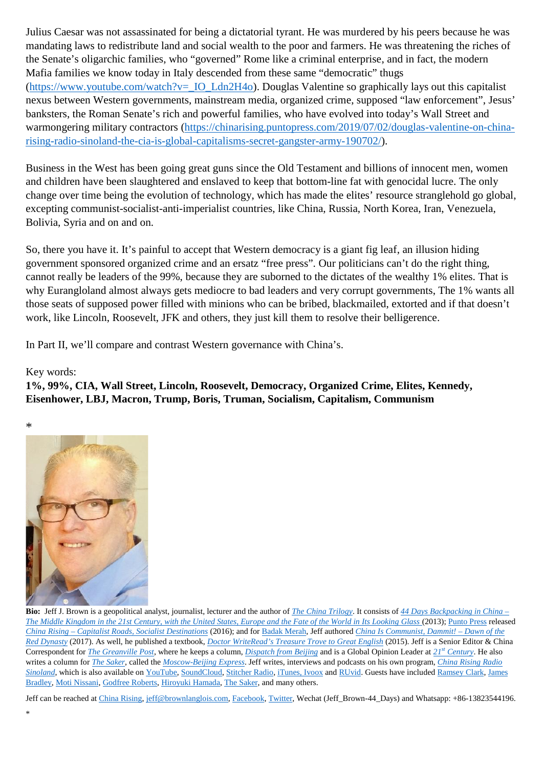Julius Caesar was not assassinated for being a dictatorial tyrant. He was murdered by his peers because he was mandating laws to redistribute land and social wealth to the poor and farmers. He was threatening the riches of the Senate's oligarchic families, who "governed" Rome like a criminal enterprise, and in fact, the modern Mafia families we know today in Italy descended from these same "democratic" thugs  $(\text{https://www.voutube.com/watch?v= IO Ldn2H4o). Douglas Valentine so graphically lays out this capitalist})$ nexus between Western governments, mainstream media, organized crime, supposed "law enforcement", Jesus' banksters, the Roman Senate's rich and powerful families, who have evolved into today's Wall Street and warmongering military contractors (https://chinarising.puntopress.com/2019/07/02/douglas-valentine-on-chinarising-radio-sinoland-the-cia-is-global-capitalisms-secret-gangster-army-190702/).

Business in the West has been going great guns since the Old Testament and billions of innocent men, women and children have been slaughtered and enslaved to keep that bottom-line fat with genocidal lucre. The only change over time being the evolution of technology, which has made the elites' resource stranglehold go global, excepting communist-socialist-anti-imperialist countries, like China, Russia, North Korea, Iran, Venezuela, Bolivia, Syria and on and on.

So, there you have it. It's painful to accept that Western democracy is a giant fig leaf, an illusion hiding government sponsored organized crime and an ersatz "free press". Our politicians can't do the right thing, cannot really be leaders of the 99%, because they are suborned to the dictates of the wealthy 1% elites. That is why Eurangloland almost always gets mediocre to bad leaders and very corrupt governments, The 1% wants all those seats of supposed power filled with minions who can be bribed, blackmailed, extorted and if that doesn't work, like Lincoln, Roosevelt, JFK and others, they just kill them to resolve their belligerence.

In Part II, we'll compare and contrast Western governance with China's.

Key words:

**1%, 99%, CIA, Wall Street, Lincoln, Roosevelt, Democracy, Organized Crime, Elites, Kennedy, Eisenhower, LBJ, Macron, Trump, Boris, Truman, Socialism, Capitalism, Communism**



**Bio:** Jeff J. Brown is a geopolitical analyst, journalist, lecturer and the author of *The China Trilogy*. It consists of *44 Days Backpacking in China – The Middle Kingdom in the 21st Century, with the United States, Europe and the Fate of the World in Its Looking Glass* (2013); Punto Press released *China Rising – Capitalist Roads, Socialist Destinations* (2016); and for Badak Merah, Jeff authored *China Is Communist, Dammit! – Dawn of the Red Dynasty* (2017). As well, he published a textbook, *Doctor WriteRead's Treasure Trove to Great English* (2015). Jeff is a Senior Editor & China Correspondent for *The Greanville Post*, where he keeps a column, *Dispatch from Beijing* and is a Global Opinion Leader at *21st Century*. He also writes a column for *The Saker*, called the *Moscow-Beijing Express*. Jeff writes, interviews and podcasts on his own program, *China Rising Radio Sinoland*, which is also available on YouTube, SoundCloud, Stitcher Radio, iTunes, Ivoox and RUvid. Guests have included Ramsey Clark, James Bradley, Moti Nissani, Godfree Roberts, Hiroyuki Hamada, The Saker, and many others.

Jeff can be reached at China Rising, jeff@brownlanglois.com, Facebook, Twitter, Wechat (Jeff\_Brown-44\_Days) and Whatsapp: +86-13823544196.